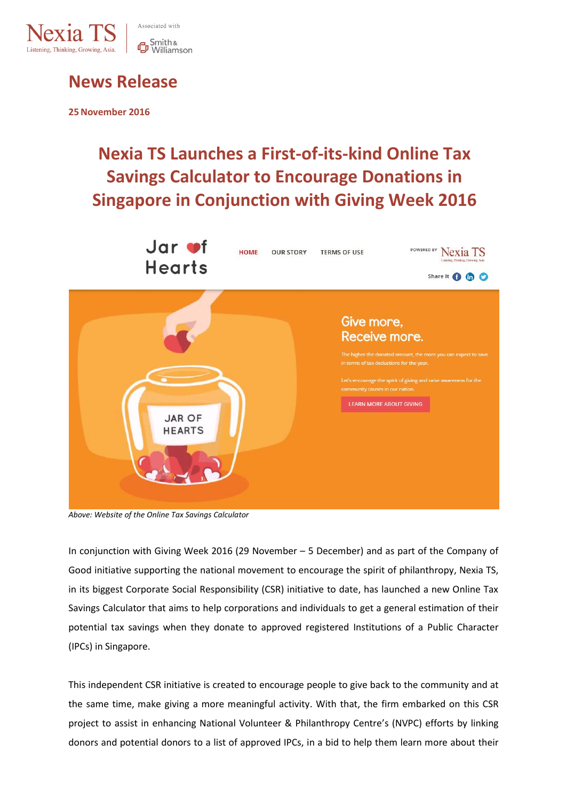

# Smith &<br>**D** Williamson

### **News Release**

**25November 2016**

## **Nexia TS Launches a First-of-its-kind Online Tax Savings Calculator to Encourage Donations in Singapore in Conjunction with Giving Week 2016**



*Above: Website of the Online Tax Savings Calculator*

In conjunction with Giving Week 2016 (29 November – 5 December) and as part of the Company of Good initiative supporting the national movement to encourage the spirit of philanthropy, Nexia TS, in its biggest Corporate Social Responsibility (CSR) initiative to date, has launched a new Online Tax Savings Calculator that aims to help corporations and individuals to get a general estimation of their potential tax savings when they donate to approved registered Institutions of a Public Character (IPCs) in Singapore.

This independent CSR initiative is created to encourage people to give back to the community and at the same time, make giving a more meaningful activity. With that, the firm embarked on this CSR project to assist in enhancing National Volunteer & Philanthropy Centre's (NVPC) efforts by linking donors and potential donors to a list of approved IPCs, in a bid to help them learn more about their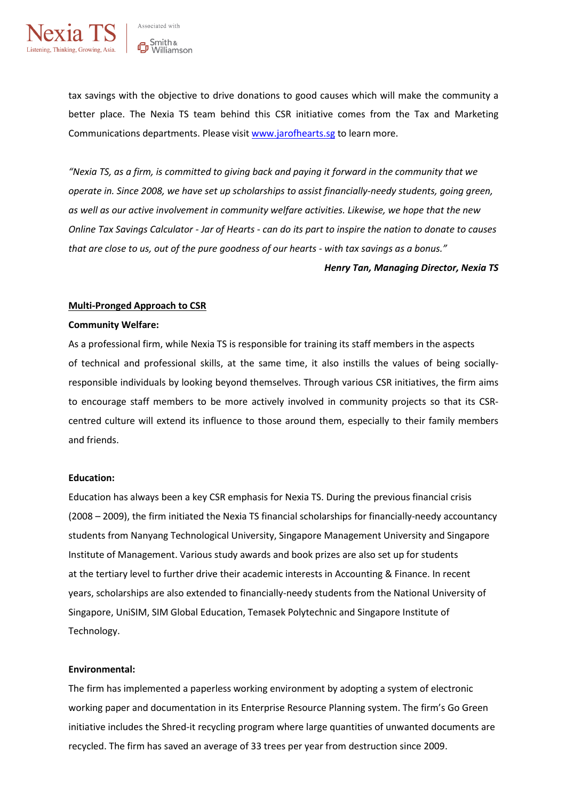

Associated with **G** Smith &<br>**C** Williamson

tax savings with the objective to drive donations to good causes which will make the community a better place. The Nexia TS team behind this CSR initiative comes from the Tax and Marketing Communications departments. Please visi[t www.jarofhearts.sg](http://www.jarofhearts.sg/) to learn more.

*"Nexia TS, as a firm, is committed to giving back and paying it forward in the community that we operate in. Since 2008, we have set up scholarships to assist financially-needy students, going green, as well as our active involvement in community welfare activities. Likewise, we hope that the new Online Tax Savings Calculator - Jar of Hearts - can do its part to inspire the nation to donate to causes that are close to us, out of the pure goodness of our hearts - with tax savings as a bonus."*

*Henry Tan, Managing Director, Nexia TS*

#### **Multi-Pronged Approach to CSR**

#### **Community Welfare:**

As a professional firm, while Nexia TS is responsible for training its staff members in the aspects of technical and professional skills, at the same time, it also instills the values of being sociallyresponsible individuals by looking beyond themselves. Through various CSR initiatives, the firm aims to encourage staff members to be more actively involved in community projects so that its CSRcentred culture will extend its influence to those around them, especially to their family members and friends.

#### **Education:**

Education has always been a key CSR emphasis for Nexia TS. During the previous financial crisis (2008 – 2009), the firm initiated the Nexia TS financial scholarships for financially-needy accountancy students from Nanyang Technological University, Singapore Management University and Singapore Institute of Management. Various study awards and book prizes are also set up for students at the tertiary level to further drive their academic interests in Accounting & Finance. In recent years, scholarships are also extended to financially-needy students from the National University of Singapore, UniSIM, SIM Global Education, Temasek Polytechnic and Singapore Institute of Technology.

#### **Environmental:**

The firm has implemented a paperless working environment by adopting a system of electronic working paper and documentation in its Enterprise Resource Planning system. The firm's Go Green initiative includes the Shred-it recycling program where large quantities of unwanted documents are recycled. The firm has saved an average of 33 trees per year from destruction since 2009.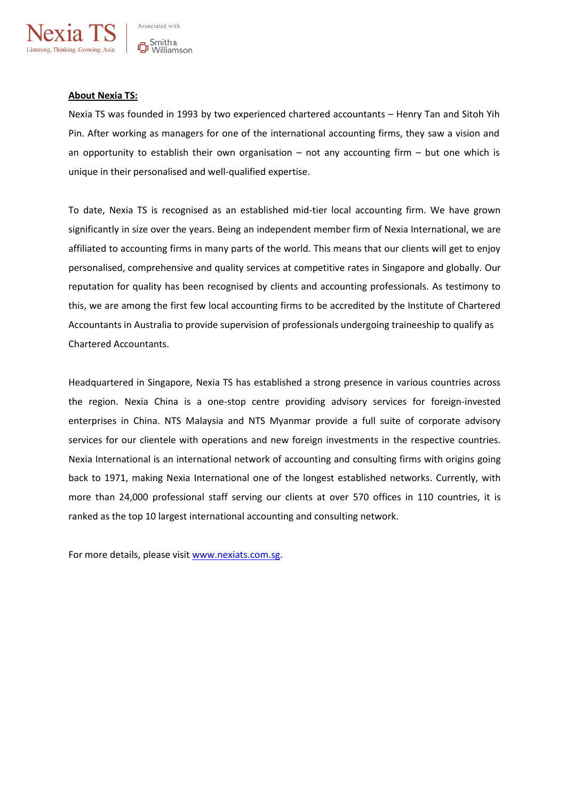

#### **About Nexia TS:**

Nexia TS was founded in 1993 by two experienced chartered accountants – Henry Tan and Sitoh Yih Pin. After working as managers for one of the international accounting firms, they saw a vision and an opportunity to establish their own organisation  $-$  not any accounting firm  $-$  but one which is unique in their personalised and well-qualified expertise.

To date, Nexia TS is recognised as an established mid-tier local accounting firm. We have grown significantly in size over the years. Being an independent member firm of Nexia International, we are affiliated to accounting firms in many parts of the world. This means that our clients will get to enjoy personalised, comprehensive and quality services at competitive rates in Singapore and globally. Our reputation for quality has been recognised by clients and accounting professionals. As testimony to this, we are among the first few local accounting firms to be accredited by the Institute of Chartered Accountants in Australia to provide supervision of professionals undergoing traineeship to qualify as Chartered Accountants.

Headquartered in Singapore, Nexia TS has established a strong presence in various countries across the region. Nexia China is a one-stop centre providing advisory services for foreign-invested enterprises in China. NTS Malaysia and NTS Myanmar provide a full suite of corporate advisory services for our clientele with operations and new foreign investments in the respective countries. Nexia International is an international network of accounting and consulting firms with origins going back to 1971, making Nexia International one of the longest established networks. Currently, with more than 24,000 professional staff serving our clients at over 570 offices in 110 countries, it is ranked as the top 10 largest international accounting and consulting network.

For more details, please visit [www.nexiats.com.sg.](http://www.nexiats.com.sg/)